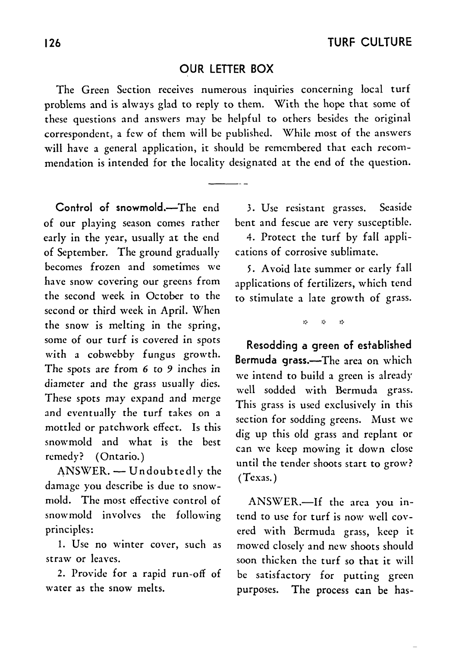## OUR LETTER BOX

The Green Section receives numerous inquiries concerning local turf problems and is always glad to reply to them. With the hope that some of these questions and answers may be helpful to others besides the original correspondent, a few of them will be published. While most of the answers will have a general application, it should be remembered that each recommendation is intended for the locality designated at the end of the question.

**Control of snowmold.**—The end of our playing season comes rather early in the year, usually at the end of September. The ground gradually becomes frozen and sometimes we have snow covering our greens from the second week in October to the second or third week in April. When the snow is melting in the spring, some of our turf is covered in spots with a cobwebby fungus growth. The spots are from *6 to 9* inches in diameter and the grass usually dies. These spots may expand and merge and eventually the turf takes on a mottled or patchwork effect. Is this snowmold and what is the best remedy? (Ontario.)

ANSWER. - Undoubtedly the damage you describe is due to snowmold. The most effective control of snowmold involves the following principles:

1. Use no winter cover, such as straw or leaves.

2. Provide for a rapid run-off of water as the snow melts.

3. Use resistant grasses. Seaside bent and fescue are very susceptible.

4. Protect the turf by fall applications of corrosive sublimate.

5. Avoid late summer or early fall applications of fertilizers, which tend to stimulate a late growth of grass.

> $\mathbf{Q}$  $\mathcal{A}_\mathbf{a}$  $\mathcal{L}$

**Resodding a green of established Bermuda grass.**—The area on which we intend to build a green is already well sodded with Bermuda grass. This grass is used exclusively in this section for sodding greens. Must we dig up this old grass and replant or can we keep mowing it down close until the tender shoots start to grow? (Texas.)

ANSWER.—If the area you intend to use for turf is now well covered with Bermuda grass, keep it mowed closely and new shoots should soon thicken the turf so that it will be satisfactory for putting green purposes. The process can be has-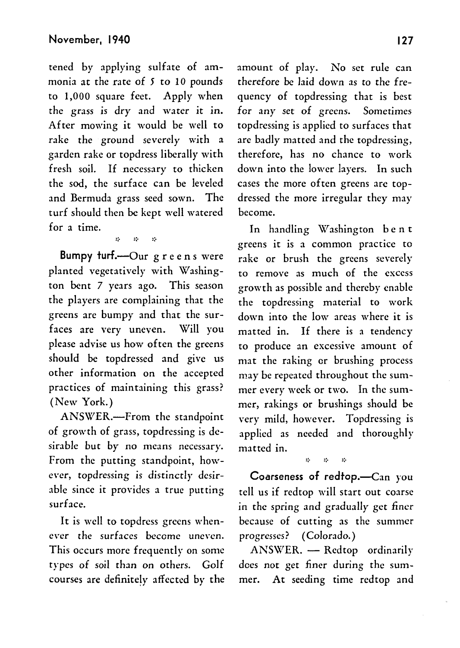tened by applying sulfate of ammonia at the rate of 5 to 10 pounds to 1,000 square feet. Apply when the grass *is* dry and water it in. After mowing it would be well to rake the ground severely with a garden rake or topdress liberally with fresh soil. If necessary to thicken the sod, the surface can be leveled and Bermuda grass seed sown. The turf should then be kept well watered for a time.

## ::...... ::..

Bumpy turf.---Our greens were planted vegetatively with Washington bent 7 years ago. This season the players are complaining that the greens are bumpy and that the surfaces are very uneven. Will you please advise us how often the greens should be topdressed and give us other information on the accepted practices of maintaining this grass? (New York.)

ANSWER.-From the standpoint of growth of grass, topdressing is desirable but by no means necessary. From the putting standpoint, however, topdressing *is* distinctly desirable since it provides a true putting surface.

It is well to topdress greens whenever the surfaces become uneven. This occurs more frequently on some types of soil than on others. Golf courses are definitely affected by the amount of play. No set rule can therefore be *laid* down as to the frequency of topdressing that *is* best for any set of greens. Sometimes topdressing *is* applicd to surfaces that arc badly matted and the topdressing, therefore, has no chance to work down into the lower layers. In such cases the more often greens arc topdressed the more irregular they may become.

In handling Washington bent greens it is a common practice to rake or brush the greens severely to remove as much of the excess growth as possible and thereby enable the topdressing material to work down into the low areas where it is matted in. If there is a tendency to produce an excessive amount of mat the raking or brushing process may be repcatcd throughout the summer every week or two. In the summer, rakings or brushings should be yery mild, however. Topdressing is applied as needed and thoroughly matted in.

Coarseness of redtop.-Can you tell us if redtop will start out coarse in the spring and gradually get finer because of cutting as the summer progresses? (Colorado.)

*ANS\\TER. -* Redtop ordinarily does not get finer during the summer. At seeding time redtop and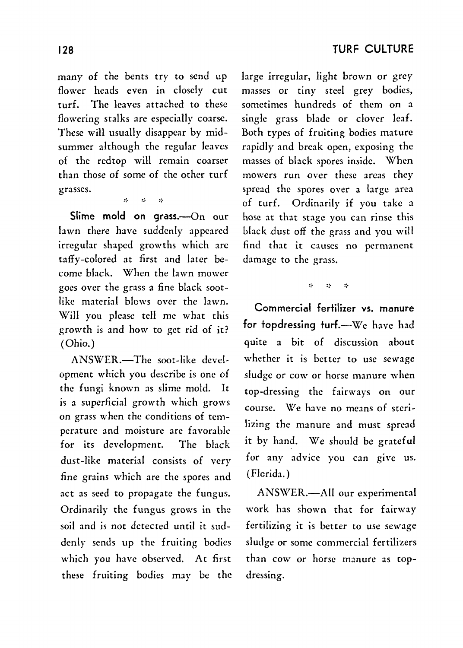many of the bents try to send up flower heads even in closely cut turf. The leaves attached to these flowering stalks are especially coarse. These will usually disappear by midsummer although the regular leaves of the redtop will remain coarser than those of some of the other turf grasses.

> $\bar{B}$ is.

**Slime mold on grass.**—On our lawn there have suddenly appeared irregular shaped growths which are taffy-colored at first and later become black. When the lawn mower goes over the grass a fine black sootlike material blows over the lawn. Will you please tell me what this growth is and how to get rid of it? (Ohio.)

ANSWER.—The soot-like development which you describe is one of the fungi known as slime mold. It is a superficial growth which grows *on* grass when the conditions of temfor its development. The black dust-like material consists of very dust-like material consists of very fine grains which are the spores and act as seed to propagate the fungus. Ordinarily the fungus grows in the soil and is not detected until it suddenly sends up the fruiting bodies which you have observed. At first these fruiting bodies may be the large irregular, light brown or grey masses or tiny steel grey bodies, sometimes hundreds of them on a single grass blade or clover leaf. Both types of fruiting bodies mature rapidly and break open, exposing the masses of black spores inside. When mowers run over these areas they spread the spores over a large area of turf. Ordinarily if you take a hose at that stage you can rinse this black dust off the grass and you will find that it causes no permanent damage to the grass.

> ò.  $\mathbf{g}_\mathrm{c}$  $\sim$   $\mu$

**Commercial fertilizer vs. manure for topdressing turf.**—We have had quite a bit of discussion about whether it is better to use sewage sludge or cow or horse manure when top-dressing the fairways on our course. We have no means of sterilizing the manure and must spread it by hand. We should be grateful for any advice you can give us. (Florida.)

ANSWER.—All our experimental work has shown that for fairway fertilizing it is better to use sewage sludge or some commercial fertilizers than cow or horse manure as topdressing.